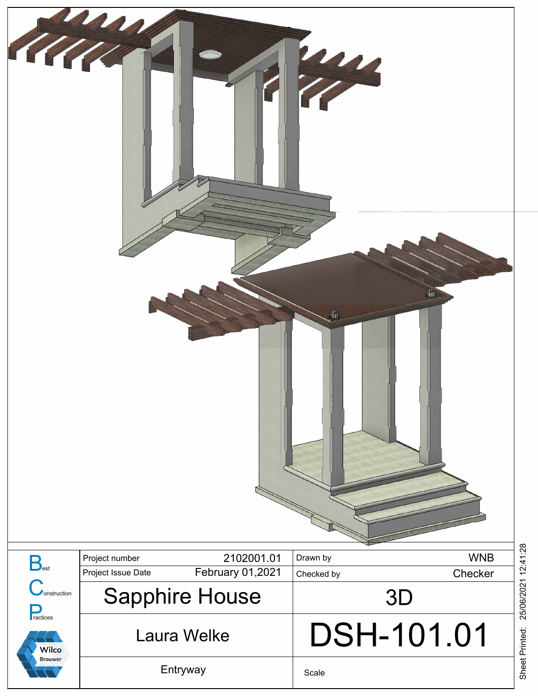

Scale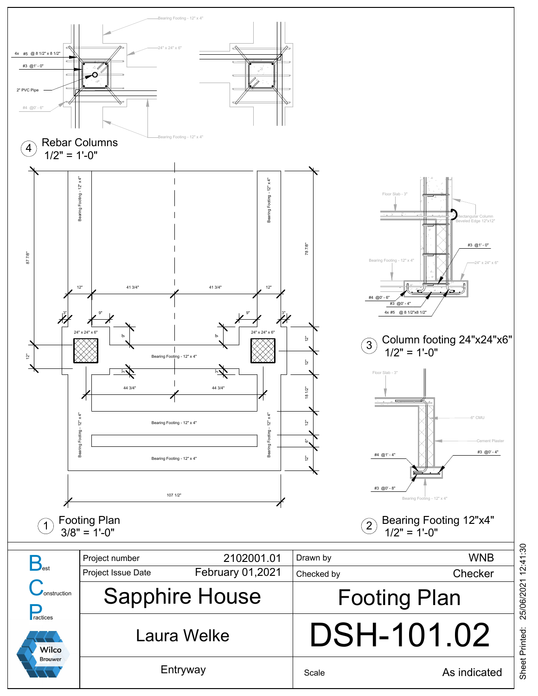<span id="page-1-0"></span>

Sheet Printed: 25/06/2021 12:41:30 25/06/2021 12:41:30 Sheet Printed: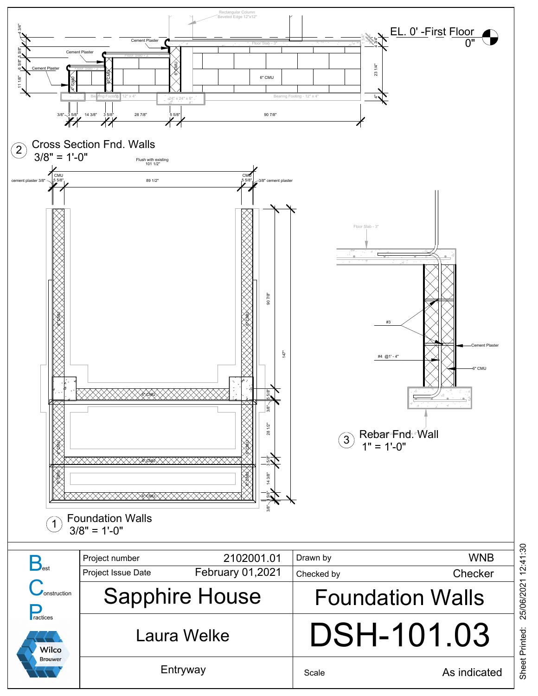

Sheet Printed: 25/06/2021 12:41:30 25/06/2021 12:41:30 Sheet Printed: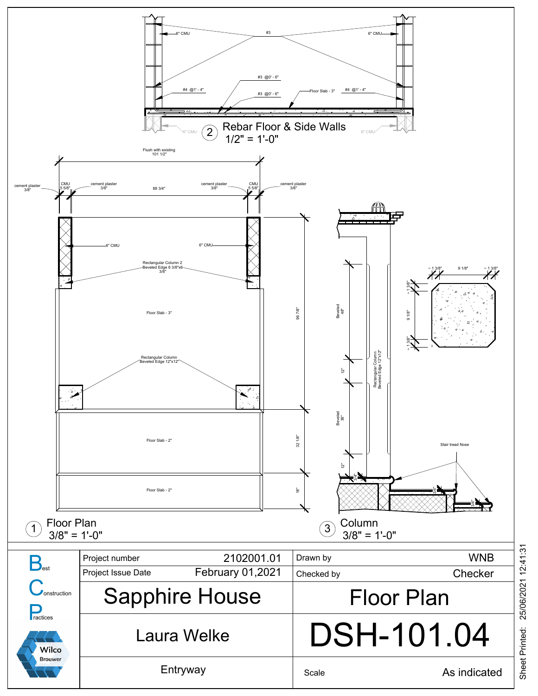

Sheet Printed: 25/06/2021 12:41:31 25/06/2021 12:41:31 Sheet Printed: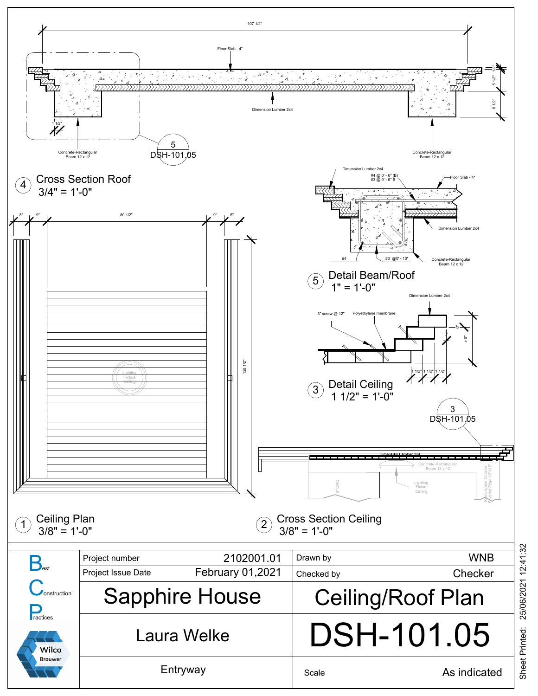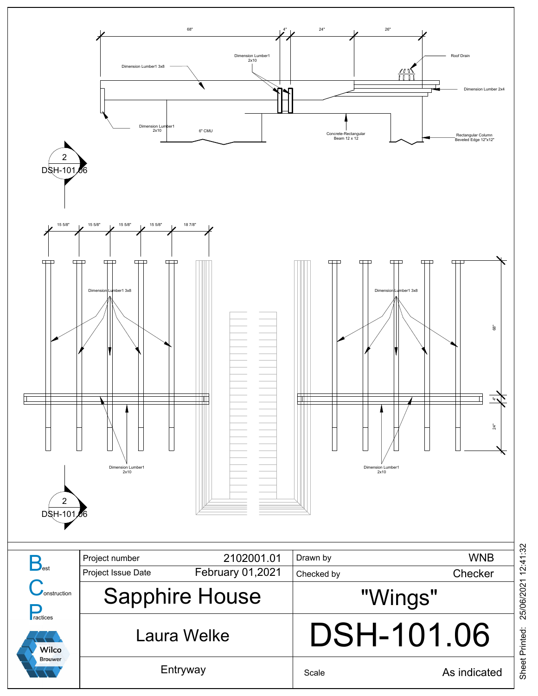

Sheet Printed: 25/06/2021 12:41:32 25/06/2021 12:41:32 Sheet Printed: